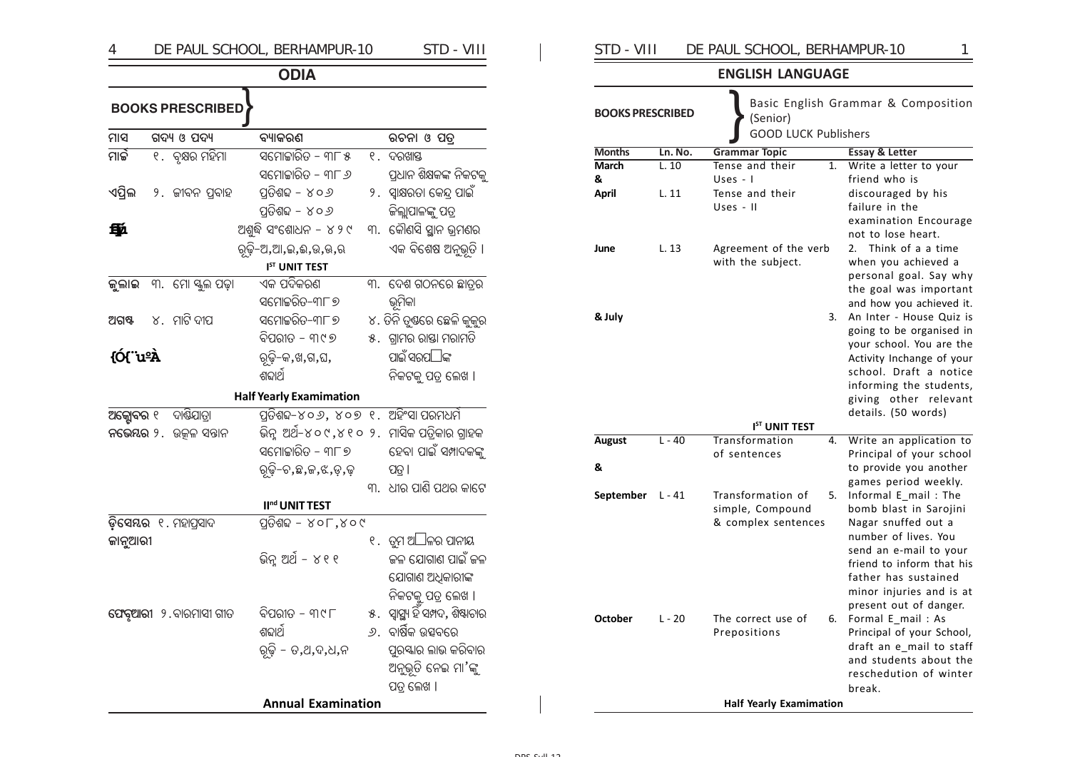## DE PAUL SCHOOL, BERHAMPUR-10 STD - VIII  $\overline{4}$ **ODIA ROOKS DRESCRIBED**

| ମାସ       |  | ଗଦ୍ୟ ଓ ପଦ୍ୟ            | ବ୍ୟାକରଣ                                       |    | ରଚନା ଓ ପତ୍ର                        |
|-----------|--|------------------------|-----------------------------------------------|----|------------------------------------|
| ମାର୍ଚ୍ଚ   |  | ୧.  ବୃକ୍ଷର ମହିମା       | <u> ସମୋଚ୍ଚାରିତ – ୩୮ ୫</u>                     |    | ୧. ଦରଖାସ୍ତ                         |
|           |  |                        | ସମୋଚ୍ଚାରିତ – ୩୮ <i>୬</i>                      |    | ପ୍ରଧାନ ଶିକ୍ଷକଙ୍କ ନିକଟକୁ            |
| ଏପ୍ରିଲ    |  | ୨ . ଜୀବନ ପ୍ରବାହ        | ପ୍ରତିଶବ୍ଦ – ୪୦୬                               |    | ୨.  ସ୍ୱାକ୍ଷରତା କେନ୍ଦ୍ର ପାଇଁ        |
|           |  |                        | ପ୍ରତିଶବ୍ଦ – ୪୦୬                               |    | କିଲ୍ଲାପାଳଙ୍କୁ ପତ୍ର                 |
| 郵         |  |                        | ଅଶୁଦ୍ଧି ସଂଶୋଧନ – ୪୨୯                          |    | ୩.  କୌଣସି ସ୍ଥାନ ଭ୍ରମଣର             |
|           |  |                        | ରୃଢ଼ି-ଅ,ଆ,ଇ,ଈ,ଉ,ଊ,ଋ                           |    | ଏକ ବିଶେଷ ଅନୁଭୂତି ।                 |
|           |  |                        | I <sup>ST</sup> UNIT TEST                     |    |                                    |
| କୁଲାଇ     |  | ୩. ମୋ ସ୍କୁଲ ପଢ଼ା       | ଏକ ପଦିକରଣ                                     |    | ୩. ଦେଶ ଗଠନରେ ଛାତ୍ରର                |
|           |  |                        | ସମୋଚ୍ଚରିତ–୩୮ ୭                                |    | ଭୂମିକା                             |
| ଅଗଷ୍ଟ     |  | ୪. ମାଟି ଦୀପ            | ସମୋଚ୍ଚରିତ−୩୮ ୭                                |    | ୪. ତିନି ତୃଷରେ ଛେଳି କୁକୁର           |
|           |  |                        | ବିପରୀତ - ୩୯୭                                  |    | ୫ . ଗ୍ରାମର ରାସ୍ତା ମରାମତି           |
| {Ó{"uºÀ   |  |                        | ରୂଢ଼ି-କ,ଖ,ଗ,ଘ,                                |    | ପାଇଁ ସରପ® ଙ୍କ                      |
|           |  |                        | ଶଢାର୍ଥ                                        |    | ନିକଟକୁ ପତ୍ର ଲେଖ ।                  |
|           |  |                        | <b>Half Yearly Examimation</b>                |    |                                    |
| ଅକ୍ସୋବର ୧ |  | ଦାଷିଯାତ୍ରା             | ପ୍ରତିଶବ୍ଦ-୪୦ <i>୬</i> , ୪୦୭ ୧. ଅହିଂସା ପରମଧର୍ମ |    |                                    |
|           |  | ନଭେୟର ୨. ଉତ୍କଳ ସନ୍ତାନ  | ଭିନ୍ନୁ ଅର୍ଥ-୪୦୯,୪୧୦ ୨.  ମାସିକ ପତ୍ରିକାର ଗ୍ରାହକ |    |                                    |
|           |  |                        | ସମୋଚ୍ଚାରିତ – ୩୮୭                              |    | ହେବା ପାଇଁ ସମ୍ପାଦକଙ୍କୁ              |
|           |  |                        | ରୃଢ଼ି–ଚ,ଛ,ଜ,ଝ,ଡ଼,ଢ଼                           |    | ପତ୍ର ।                             |
|           |  |                        |                                               |    | ୩. ଧୀର ପାଣି ପଥର କାଟେ               |
|           |  |                        | II <sup>nd</sup> UNIT TEST                    |    |                                    |
|           |  | ଡ଼ିସେୟର ୧.ମହାପ୍ରସାଦ    | ପ୍ରତିଶବ୍ଦ – ୪୦୮,୪୦୯                           |    |                                    |
| କାନୁଆରୀ   |  |                        |                                               |    | ୧. ତୁମ ଅ® ଳର ପାନୀୟ                 |
|           |  |                        | ଭିନ୍ ଅର୍ଥ - ୪୧୧                               |    | କଳ ଯୋଗାଣ ପାଇଁ କଳ                   |
|           |  |                        |                                               |    | ଯୋଗାଣ ଅଧିକାରୀଙ୍କ                   |
|           |  |                        |                                               |    | ନିକଟକୁ ପତ୍ର ଲେଖ ।                  |
|           |  | ଫେବୃଆରୀ ୨. ବାରମାସୀ ଗୀତ | ବିପରୀତ − ୩୯୮                                  |    | ୫.  ସ୍ୱାସ୍ଥ୍ୟ ହିଁ ସମ୍ପଦ, ଶିଷ୍ଟାଚାର |
|           |  |                        | ଶଢାର୍ଥ                                        | ୬. | ବାର୍ଷିକ ଉତ୍ସବରେ                    |
|           |  |                        | ରୃଢ଼ି - ତ,ଥ,ଦ,ଧ,ନ                             |    | ପୁରୟାର ଲାଭ କରିବାର                  |
|           |  |                        |                                               |    | ଅନୁଭୂତି ନେଇ ମା'ଙ୍କୁ                |
|           |  |                        |                                               |    | ପତ୍ର ଲେଖ ।                         |
|           |  |                        | <b>Annual Examination</b>                     |    |                                    |

#### STD - VIII DE PAUL SCHOOL, BERHAMPUR-10

### **ENGLISH LANGUAGE**

 $\mathbf{1}$ 

 $=$ 

| <b>BOOKS PRESCRIBED</b> |               | (Senior)<br><b>GOOD LUCK Publishers</b>                                        | Basic English Grammar & Composition                                                                                                                                                                                                |
|-------------------------|---------------|--------------------------------------------------------------------------------|------------------------------------------------------------------------------------------------------------------------------------------------------------------------------------------------------------------------------------|
| <b>Months</b>           | Ln. No.       | <b>Grammar Topic</b>                                                           | <b>Essay &amp; Letter</b>                                                                                                                                                                                                          |
| March<br>&<br>April     | L.10<br>L. 11 | Tense and their<br>1.<br>Uses - $\overline{1}$<br>Tense and their<br>Uses - II | Write a letter to your<br>friend who is<br>discouraged by his<br>failure in the<br>examination Encourage<br>not to lose heart.                                                                                                     |
| June                    | L.13          | Agreement of the verb<br>with the subject.                                     | Think of a a time<br>2.<br>when you achieved a<br>personal goal. Say why<br>the goal was important<br>and how you achieved it.                                                                                                     |
| & July                  |               | 3.                                                                             | An Inter - House Quiz is<br>going to be organised in<br>your school. You are the<br>Activity Inchange of your<br>school. Draft a notice<br>informing the students,<br>giving other relevant<br>details. (50 words)                 |
|                         |               | I <sup>ST</sup> UNIT TEST                                                      |                                                                                                                                                                                                                                    |
| <b>August</b>           | $L - 40$      | Transformation<br>4.<br>of sentences                                           | Write an application to<br>Principal of your school                                                                                                                                                                                |
| &                       |               |                                                                                | to provide you another<br>games period weekly.                                                                                                                                                                                     |
| September L-41          |               | Transformation of<br>5.<br>simple, Compound<br>& complex sentences             | Informal E_mail: The<br>bomb blast in Sarojini<br>Nagar snuffed out a<br>number of lives. You<br>send an e-mail to your<br>friend to inform that his<br>father has sustained<br>minor injuries and is at<br>present out of danger. |
| <b>October</b>          | $L - 20$      | The correct use of<br>6.<br>Prepositions                                       | Formal E mail: As<br>Principal of your School,<br>draft an e mail to staff<br>and students about the<br>reschedution of winter<br>break.                                                                                           |
|                         |               | <b>Half Yearly Examimation</b>                                                 |                                                                                                                                                                                                                                    |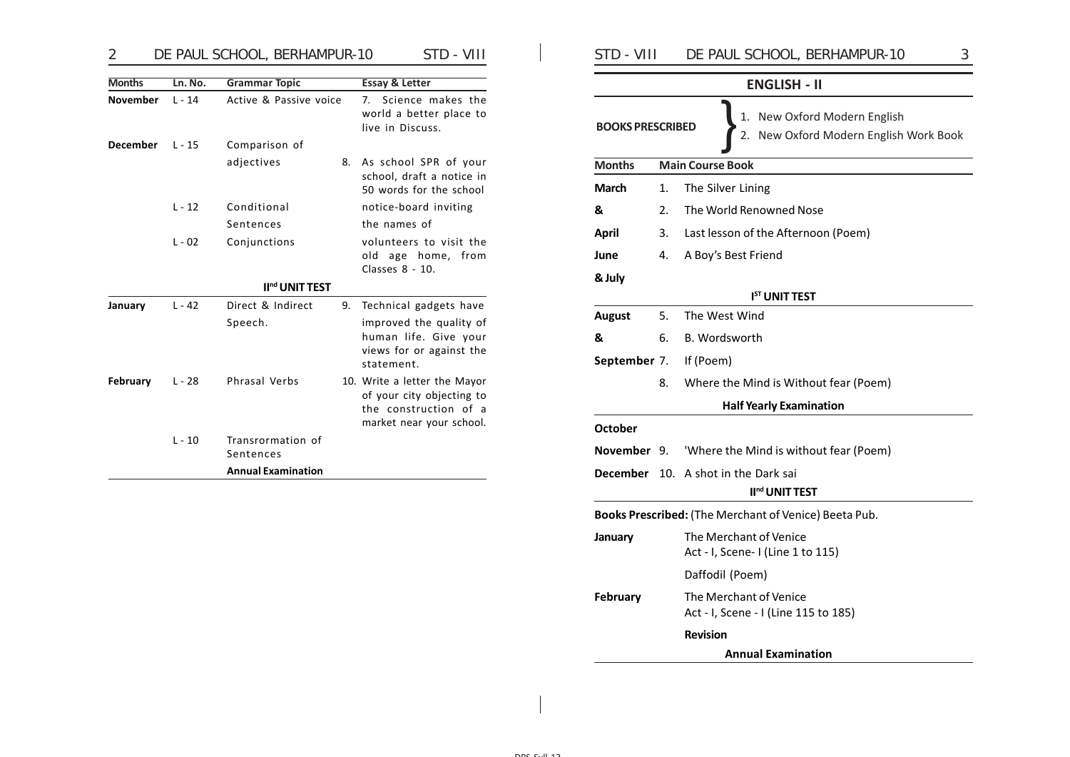| 2               |          | DE PAUL SCHOOL, BERHAMPUR-10   |                           | STD - VIII                                           | STD - VIII              |    | 3<br>DE PAUL SCHOOL, BERHAMPUR-10                                |
|-----------------|----------|--------------------------------|---------------------------|------------------------------------------------------|-------------------------|----|------------------------------------------------------------------|
| <b>Months</b>   | Ln. No.  | <b>Grammar Topic</b>           | <b>Essay &amp; Letter</b> |                                                      |                         |    | <b>ENGLISH - II</b>                                              |
| <b>November</b> | $L - 14$ | Active & Passive voice         | live in Discuss.          | 7. Science makes the<br>world a better place to      | <b>BOOKS PRESCRIBED</b> |    | New Oxford Modern English<br>New Oxford Modern English Work Book |
| <b>December</b> | $L - 15$ | Comparison of                  |                           |                                                      |                         |    |                                                                  |
|                 |          | adjectives                     | 8.                        | As school SPR of your                                | <b>Months</b>           |    | <b>Main Course Book</b>                                          |
|                 |          |                                |                           | school, draft a notice in<br>50 words for the school | March                   | 1. | The Silver Lining                                                |
|                 | $L - 12$ | Conditional                    |                           | notice-board inviting                                | &                       | 2. | The World Renowned Nose                                          |
|                 |          | Sentences                      | the names of              |                                                      | April                   | 3. | Last lesson of the Afternoon (Poem)                              |
|                 | $L - 02$ | Conjunctions                   |                           | volunteers to visit the                              |                         |    |                                                                  |
|                 |          |                                |                           | old age home, from<br>Classes 8 - 10.                | June                    | 4. | A Boy's Best Friend                                              |
|                 |          | II <sup>nd</sup> UNIT TEST     |                           |                                                      | & July                  |    |                                                                  |
| January         | $L - 42$ | Direct & Indirect              | 9.                        | Technical gadgets have                               |                         |    | I <sup>ST</sup> UNIT TEST                                        |
|                 |          | Speech.                        |                           | improved the quality of                              | August                  | 5. | The West Wind                                                    |
|                 |          |                                |                           | human life. Give your<br>views for or against the    | &                       | 6. | B. Wordsworth                                                    |
|                 |          |                                | statement.                |                                                      | September 7.            |    | If (Poem)                                                        |
| February        | $L - 28$ | Phrasal Verbs                  |                           | 10. Write a letter the Mayor                         |                         | 8. | Where the Mind is Without fear (Poem)                            |
|                 |          |                                |                           | of your city objecting to<br>the construction of a   |                         |    | <b>Half Yearly Examination</b>                                   |
|                 |          |                                |                           | market near your school.                             | October                 |    |                                                                  |
|                 | $L - 10$ | Transrormation of<br>Sentences |                           |                                                      | November 9.             |    | 'Where the Mind is without fear (Poem)                           |
|                 |          | <b>Annual Examination</b>      |                           |                                                      |                         |    | <b>December</b> 10. A shot in the Dark sai                       |

|                                                                                                         | <b>ENGLISH - II</b> |                                                                |  |  |  |  |
|---------------------------------------------------------------------------------------------------------|---------------------|----------------------------------------------------------------|--|--|--|--|
| New Oxford Modern English<br>1.<br><b>BOOKS PRESCRIBED</b><br>New Oxford Modern English Work Book<br>2. |                     |                                                                |  |  |  |  |
| <b>Months</b>                                                                                           |                     | <b>Main Course Book</b>                                        |  |  |  |  |
| March                                                                                                   | 1.                  | The Silver Lining                                              |  |  |  |  |
| &                                                                                                       | 2.                  | The World Renowned Nose                                        |  |  |  |  |
| April                                                                                                   |                     | 3. Last lesson of the Afternoon (Poem)                         |  |  |  |  |
| June                                                                                                    | 4.                  | A Boy's Best Friend                                            |  |  |  |  |
| & July                                                                                                  |                     |                                                                |  |  |  |  |
|                                                                                                         |                     | <b>I<sup>ST</sup> UNIT TEST</b>                                |  |  |  |  |
| <b>August</b>                                                                                           | 5.                  | The West Wind                                                  |  |  |  |  |
| &                                                                                                       | 6.                  | B. Wordsworth                                                  |  |  |  |  |
| September 7.                                                                                            |                     | If (Poem)                                                      |  |  |  |  |
|                                                                                                         | 8.                  | Where the Mind is Without fear (Poem)                          |  |  |  |  |
|                                                                                                         |                     | <b>Half Yearly Examination</b>                                 |  |  |  |  |
| October                                                                                                 |                     |                                                                |  |  |  |  |
|                                                                                                         |                     | November 9. 'Where the Mind is without fear (Poem)             |  |  |  |  |
|                                                                                                         |                     | <b>December</b> 10. A shot in the Dark sai                     |  |  |  |  |
|                                                                                                         |                     | II <sup>nd</sup> UNIT TEST                                     |  |  |  |  |
|                                                                                                         |                     | Books Prescribed: (The Merchant of Venice) Beeta Pub.          |  |  |  |  |
| January                                                                                                 |                     | The Merchant of Venice<br>Act - I, Scene- I (Line 1 to 115)    |  |  |  |  |
|                                                                                                         |                     | Daffodil (Poem)                                                |  |  |  |  |
| February                                                                                                |                     | The Merchant of Venice<br>Act - I, Scene - I (Line 115 to 185) |  |  |  |  |
|                                                                                                         |                     | <b>Revision</b>                                                |  |  |  |  |
|                                                                                                         |                     | <b>Annual Examination</b>                                      |  |  |  |  |
|                                                                                                         |                     |                                                                |  |  |  |  |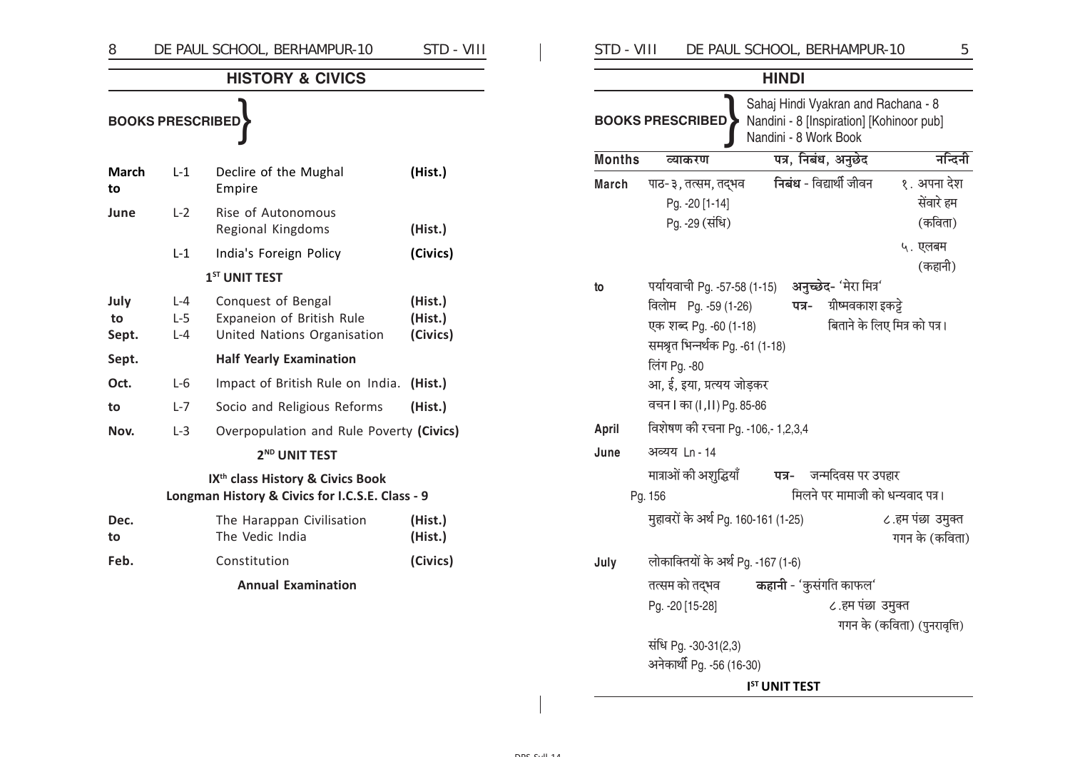| 8                   |                             | DE PAUL SCHOOL, BERHAMPUR-10                                                                    | STD - VIII                     |
|---------------------|-----------------------------|-------------------------------------------------------------------------------------------------|--------------------------------|
|                     |                             | <b>HISTORY &amp; CIVICS</b>                                                                     |                                |
|                     | <b>BOOKS PRESCRIBED</b>     |                                                                                                 |                                |
| March<br>to         | L-1                         | Declire of the Mughal<br>Empire                                                                 | (Hist.)                        |
| June                | $L-2$                       | Rise of Autonomous<br>Regional Kingdoms                                                         | (Hist.)                        |
|                     | $L-1$                       | India's Foreign Policy                                                                          | (Civics)                       |
|                     |                             | 1 <sup>ST</sup> UNIT TEST                                                                       |                                |
| July<br>to<br>Sept. | $L - 4$<br>$L-5$<br>$L - 4$ | Conquest of Bengal<br>Expaneion of British Rule<br>United Nations Organisation                  | (Hist.)<br>(Hist.)<br>(Civics) |
| Sept.               |                             | <b>Half Yearly Examination</b>                                                                  |                                |
| Oct.                | $L-6$                       | Impact of British Rule on India.                                                                | (Hist.)                        |
| to                  | $L - 7$                     | Socio and Religious Reforms                                                                     | (Hist.)                        |
| Nov.                | $L-3$                       | Overpopulation and Rule Poverty (Civics)                                                        |                                |
|                     |                             | 2 <sup>ND</sup> UNIT TEST                                                                       |                                |
|                     |                             | IX <sup>th</sup> class History & Civics Book<br>Longman History & Civics for I.C.S.E. Class - 9 |                                |
| Dec.<br>to          |                             | The Harappan Civilisation<br>The Vedic India                                                    | (Hist.)<br>(Hist.)             |
| Feb.                |                             | Constitution                                                                                    | (Civics)                       |
|                     |                             | <b>Annual Examination</b>                                                                       |                                |

 $\frac{5}{1}$ 

|               |                                                                                                                                     | <b>HINDI</b>                     |                              |  |  |  |  |
|---------------|-------------------------------------------------------------------------------------------------------------------------------------|----------------------------------|------------------------------|--|--|--|--|
|               | Sahaj Hindi Vyakran and Rachana - 8<br><b>BOOKS PRESCRIBED</b><br>Nandini - 8 [Inspiration] [Kohinoor pub]<br>Nandini - 8 Work Book |                                  |                              |  |  |  |  |
| <b>Months</b> | व्याकरण                                                                                                                             | पत्र, निबंध, अनुछेद              | नन्दिनी                      |  |  |  |  |
| <b>March</b>  | पाठ-३, तत्सम, तद्भव                                                                                                                 | निबंध - विद्यार्थी जीवन          | १. अपना देश                  |  |  |  |  |
|               | Pg. - 20 [1-14]                                                                                                                     |                                  | सेंवारे हम                   |  |  |  |  |
|               | Pg. -29 (संधि)                                                                                                                      |                                  | (कविता)                      |  |  |  |  |
|               |                                                                                                                                     |                                  | ५. एलबम                      |  |  |  |  |
|               |                                                                                                                                     |                                  | (कहानी)                      |  |  |  |  |
| to            | पर्यायवाची Pg. -57-58 (1-15)                                                                                                        | अनुच्छेद- 'मेरा मित्र'           |                              |  |  |  |  |
|               | विलोम<br>ग्रीष्मवकाश इकट्टे<br>Pg. -59 (1-26)<br>पत्र-                                                                              |                                  |                              |  |  |  |  |
|               | बिताने के लिए मित्र को पत्र।<br>एक शब्द Pg. -60 (1-18)                                                                              |                                  |                              |  |  |  |  |
|               | समश्रत भिन्नर्थक Pg. -61 (1-18)                                                                                                     |                                  |                              |  |  |  |  |
|               | लिंग Pg. -80                                                                                                                        |                                  |                              |  |  |  |  |
|               | आ, ई, इया, प्रत्यय जोड़कर                                                                                                           |                                  |                              |  |  |  |  |
|               | वचन । का (I, II) Pg. 85-86                                                                                                          |                                  |                              |  |  |  |  |
| April         | विशेषण की रचना Pg. -106,- 1,2,3,4                                                                                                   |                                  |                              |  |  |  |  |
| June          | अव्यय <u>1</u> n - 14                                                                                                               |                                  |                              |  |  |  |  |
|               | मात्राओं की अशुद्धियाँ                                                                                                              | जन्मदिवस पर उपहार<br>पत्र-       |                              |  |  |  |  |
|               | Pg. 156                                                                                                                             | मिलने पर मामाजी को धन्यवाद पत्र। |                              |  |  |  |  |
|               | मुहावरों के अर्थ Pg. 160-161 (1-25)                                                                                                 |                                  | ८.हम पंछा उमुक्त             |  |  |  |  |
|               |                                                                                                                                     |                                  | गगन के (कविता)               |  |  |  |  |
| July          | लोकाक्तियों के अर्थ Pg. -167 (1-6)                                                                                                  |                                  |                              |  |  |  |  |
|               | तत्सम को तद्भव                                                                                                                      | <b>कहानी</b> - 'कुसंगति काफल'    |                              |  |  |  |  |
|               | Pg. - 20 [15-28]                                                                                                                    | ८.हम पंछा उमुक्त                 |                              |  |  |  |  |
|               |                                                                                                                                     |                                  | गगन के (कविता) (पुनरावृत्ति) |  |  |  |  |
|               | संधि Pg. -30-31(2,3)                                                                                                                |                                  |                              |  |  |  |  |
|               | अनेकार्थी Pg. -56 (16-30)                                                                                                           |                                  |                              |  |  |  |  |
|               |                                                                                                                                     | I <sup>ST</sup> UNIT TEST        |                              |  |  |  |  |

 $\frac{1}{2}$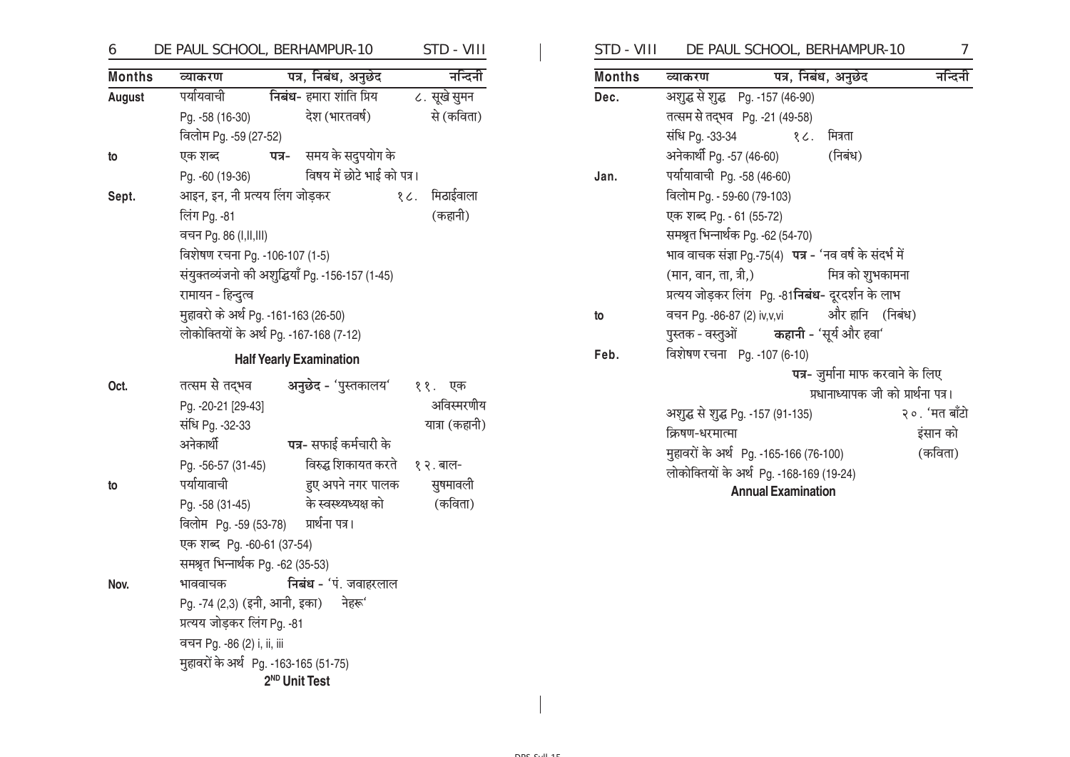#### DE PAUL SCHOOL, BERHAMPUR-10 STD - VIII 6

| <b>Months</b> | व्याकरण                                 |                                      | पत्र, निबंध, अनुछेद                              |  | नन्दिनी       |  |  |
|---------------|-----------------------------------------|--------------------------------------|--------------------------------------------------|--|---------------|--|--|
| August        | पर्यायवाची                              |                                      | निबंध- हमारा शांति प्रिय                         |  | ८. सूखे सुमन  |  |  |
|               | Pg. -58 (16-30)                         |                                      | देश (भारतवर्ष)                                   |  | से (कविता)    |  |  |
|               | विलोम Pg. -59 (27-52)                   |                                      |                                                  |  |               |  |  |
| to            | एक शब्द                                 |                                      | <b>पत्र-</b> समय के सदुपयोग के                   |  |               |  |  |
|               | Pg. -60 (19-36)                         |                                      | विषय में छोटे भाई को पत्र।                       |  |               |  |  |
| Sept.         | आइन, इन, नी प्रत्यय लिंग जोड़कर         |                                      |                                                  |  | १८. मिठाईवाला |  |  |
|               | लिंग Pg. -81                            |                                      |                                                  |  | (कहानी)       |  |  |
|               | वचन Pg. 86 (I,II,III)                   |                                      |                                                  |  |               |  |  |
|               | विशेषण रचना Pg. -106-107 (1-5)          |                                      |                                                  |  |               |  |  |
|               |                                         |                                      | संयुक्तव्यंजनो की अशुद्धियाँ Pg. -156-157 (1-45) |  |               |  |  |
|               | रामायन - हिन्दुत्व                      |                                      |                                                  |  |               |  |  |
|               |                                         | मुहावरो के अर्थ Pg. -161-163 (26-50) |                                                  |  |               |  |  |
|               | लोकोक्तियों के अर्थ Pg. -167-168 (7-12) |                                      |                                                  |  |               |  |  |
|               |                                         |                                      | <b>Half Yearly Examination</b>                   |  |               |  |  |
| Oct.          | तत्सम से तद्भव                          |                                      | अनुछेद - 'पुस्तकालय'                             |  | ११.<br>एक     |  |  |

| Oct. | तत्सम से तद्भव                            | अनुछेद - 'पुस्तकालय'         | ११. एक         |
|------|-------------------------------------------|------------------------------|----------------|
|      | Pg. -20-21 [29-43]                        |                              | अविस्मरणीय     |
|      | संधि Pg. -32-33                           |                              | यात्रा (कहानी) |
|      | अनेकार्थी                                 | पत्र- सफाई कर्मचारी के       |                |
|      | Pg. -56-57 (31-45)                        | विरुद्ध शिकायत करते १२. बाल- |                |
| to   | पर्यायावाची                               | हुए अपने नगर पालक            | सुषमावली       |
|      | Pg. -58 (31-45)                           | के स्वस्थ्यध्यक्ष को         | (कविता)        |
|      | विलोम Pg. -59 (53-78) प्रार्थना पत्र।     |                              |                |
|      | एक शब्द Pg. -60-61 (37-54)                |                              |                |
|      | समश्रत भिन्नार्थक Pg. -62 (35-53)         |                              |                |
| Nov. | भाववाचक                                   | निबंध - 'पं. जवाहरलाल        |                |
|      | Pg. -74 (2,3) (इनी, आनी, इका)      नेहरू' |                              |                |
|      | प्रत्यय जोड़कर लिंग Pg. -81               |                              |                |
|      | वचन Pg. -86 (2) i, ii, iii                |                              |                |
|      | मुहावरों के अर्थ Pg. -163-165 (51-75)     |                              |                |
|      |                                           | 2 <sup>ND</sup> Unit Test    |                |
|      |                                           |                              |                |

|               | STD - VIII DE PAUL SCHOOL, BERHAMPUR-10 |                                                         |                                              |  |  |  |  |
|---------------|-----------------------------------------|---------------------------------------------------------|----------------------------------------------|--|--|--|--|
| <b>Months</b> | व्याकरण                                 |                                                         | पत्र, निबंध, अनुछेद                          |  |  |  |  |
| Dec.          |                                         | अशुद्ध से शुद्ध Pg. -157 (46-90)                        |                                              |  |  |  |  |
|               | तत्सम से तद्भव Pg. -21 (49-58)          |                                                         |                                              |  |  |  |  |
|               |                                         | संधि Pg. -33-34 १८. मित्रता                             |                                              |  |  |  |  |
|               |                                         | अनेकार्थी Pg. -57 (46-60) (निबंध)                       |                                              |  |  |  |  |
| Jan.          |                                         | पर्यायावाची Pg. -58 (46-60)                             |                                              |  |  |  |  |
|               |                                         | विलोम Pg. - 59-60 (79-103)                              |                                              |  |  |  |  |
|               | एक शब्द Pg. - 61 (55-72)                |                                                         |                                              |  |  |  |  |
|               |                                         | समश्रत भिन्नार्थक Pg. -62 (54-70)                       |                                              |  |  |  |  |
|               |                                         | भाव वाचक संज्ञा Pg.-75(4) पत्र - 'नव वर्ष के संदर्भ में |                                              |  |  |  |  |
|               |                                         | (मान, वान, ता, त्री,)                                   | मित्र को शुभकामना                            |  |  |  |  |
|               |                                         | प्रत्यय जोड़कर लिंग Pg. -81 निबंध- दूरदर्शन के लाभ      |                                              |  |  |  |  |
| to            |                                         |                                                         | वचन Pg. -86-87 (2) iv,v,vi 31रे हानि (निबंध) |  |  |  |  |
|               |                                         | पुस्तक - वस्तुओं <b>कहानी - '</b> सुर्य और हवा'         |                                              |  |  |  |  |

विशेषण रचना Pg. -107 (6-10) Feb. पत्र- जुर्माना माफ करवाने के लिए

्<br>प्रधानाध्यापक जी को प्रार्थना पत्र। अशुद्ध से शुद्ध Pg. -157 (91-135) २०. 'मत बाँटो क्रिषण-धरमात्मा इंसान को मुहावरों के अर्थ Pg. -165-166 (76-100) (कविता) ्<br>लोकोक्तियों के अर्थ Pg. -168-169 (19-24)

**Annual Examination**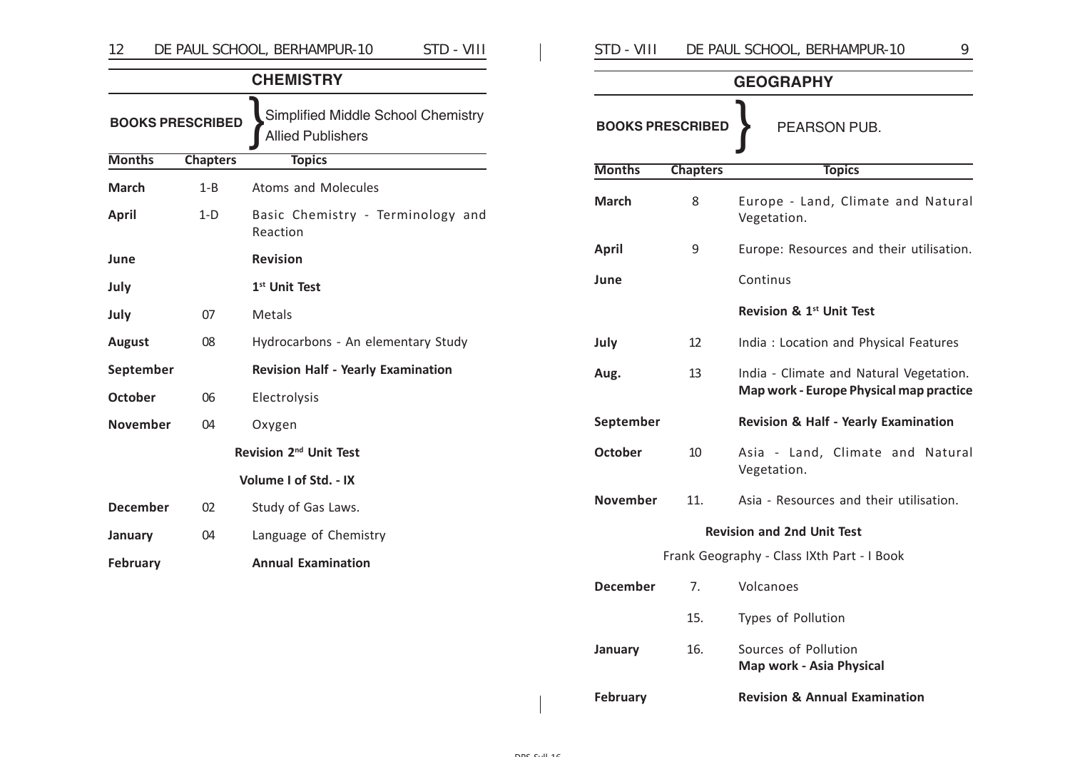| DE PAUL SCHOOL, BERHAMPUR-10                 |                           |                                                                |  |  |  |
|----------------------------------------------|---------------------------|----------------------------------------------------------------|--|--|--|
|                                              |                           | <b>CHEMISTRY</b>                                               |  |  |  |
| <b>BOOKS PRESCRIBED</b>                      |                           | Simplified Middle School Chemistry<br><b>Allied Publishers</b> |  |  |  |
| <b>Months</b>                                | <b>Chapters</b>           | <b>Topics</b>                                                  |  |  |  |
| <b>March</b>                                 | $1 - B$                   | <b>Atoms and Molecules</b>                                     |  |  |  |
| <b>April</b>                                 | $1-D$                     | Basic Chemistry - Terminology and<br>Reaction                  |  |  |  |
| June                                         |                           | <b>Revision</b>                                                |  |  |  |
| July                                         | 1 <sup>st</sup> Unit Test |                                                                |  |  |  |
| July                                         | 07                        | Metals                                                         |  |  |  |
| <b>August</b>                                | 08                        | Hydrocarbons - An elementary Study                             |  |  |  |
| September                                    |                           | <b>Revision Half - Yearly Examination</b>                      |  |  |  |
| <b>October</b>                               | 06                        | Electrolysis                                                   |  |  |  |
| <b>November</b>                              | 04                        | Oxygen                                                         |  |  |  |
|                                              |                           | Revision 2 <sup>nd</sup> Unit Test                             |  |  |  |
|                                              |                           | Volume I of Std. - IX                                          |  |  |  |
| <b>December</b>                              | 02                        | Study of Gas Laws.                                             |  |  |  |
| January                                      | 04                        | Language of Chemistry                                          |  |  |  |
| <b>Annual Examination</b><br><b>February</b> |                           |                                                                |  |  |  |

| STD - VIII              |                 | DE PAUL SCHOOL, BERHAMPUR-10<br>9                                                  |  |  |  |  |
|-------------------------|-----------------|------------------------------------------------------------------------------------|--|--|--|--|
| <b>GEOGRAPHY</b>        |                 |                                                                                    |  |  |  |  |
| <b>BOOKS PRESCRIBED</b> |                 | PEARSON PUB.                                                                       |  |  |  |  |
| <b>Months</b>           | <b>Chapters</b> | <b>Topics</b>                                                                      |  |  |  |  |
| <b>March</b>            | 8               | Europe - Land, Climate and Natural<br>Vegetation.                                  |  |  |  |  |
| <b>April</b>            | 9               | Europe: Resources and their utilisation.                                           |  |  |  |  |
| June                    |                 | Continus                                                                           |  |  |  |  |
|                         |                 | Revision & 1st Unit Test                                                           |  |  |  |  |
| July                    | 12              | India: Location and Physical Features                                              |  |  |  |  |
| Aug.                    | 13              | India - Climate and Natural Vegetation.<br>Map work - Europe Physical map practice |  |  |  |  |
| September               |                 | <b>Revision &amp; Half - Yearly Examination</b>                                    |  |  |  |  |
| <b>October</b>          | 10              | Asia - Land, Climate and Natural<br>Vegetation.                                    |  |  |  |  |
| <b>November</b>         | 11.             | Asia - Resources and their utilisation.                                            |  |  |  |  |
|                         |                 | <b>Revision and 2nd Unit Test</b>                                                  |  |  |  |  |
|                         |                 | Frank Geography - Class IXth Part - I Book                                         |  |  |  |  |
| <b>December</b>         | 7.              | Volcanoes                                                                          |  |  |  |  |
|                         | 15.             | Types of Pollution                                                                 |  |  |  |  |
| <b>January</b>          | 16.             | Sources of Pollution<br><b>Map work - Asia Physical</b>                            |  |  |  |  |
| February                |                 | <b>Revision &amp; Annual Examination</b>                                           |  |  |  |  |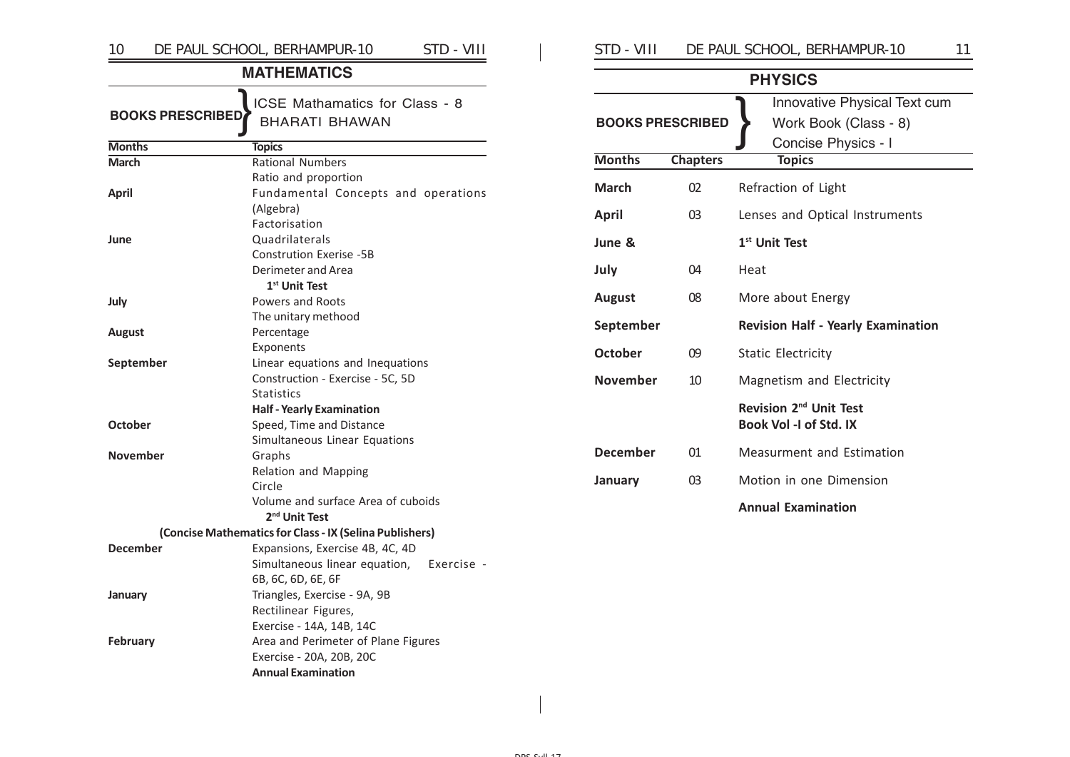| 10                      | DE PAUL SCHOOL, BERHAMPUR-10<br>STD - VIII                   | STD - VIII              |                 | DE PAUL SCHOOL, BERHAMPUR-10<br>11                    |
|-------------------------|--------------------------------------------------------------|-------------------------|-----------------|-------------------------------------------------------|
|                         | <b>MATHEMATICS</b>                                           |                         |                 | <b>PHYSICS</b>                                        |
| <b>BOOKS PRESCRIBED</b> | ICSE Mathamatics for Class - 8<br><b>BHARATI BHAWAN</b>      | <b>BOOKS PRESCRIBED</b> |                 | Innovative Physical Text cum<br>Work Book (Class - 8) |
| <b>Months</b>           | <b>Topics</b>                                                |                         |                 | Concise Physics - I                                   |
| <b>March</b>            | <b>Rational Numbers</b>                                      | <b>Months</b>           | <b>Chapters</b> | <b>Topics</b>                                         |
| <b>April</b>            | Ratio and proportion<br>Fundamental Concepts and operations  | <b>March</b>            | 02              | Refraction of Light                                   |
|                         | (Algebra)<br>Factorisation                                   | <b>April</b>            | 03              | Lenses and Optical Instruments                        |
| June                    | Quadrilaterals<br><b>Constrution Exerise -5B</b>             | June &                  |                 | 1 <sup>st</sup> Unit Test                             |
|                         | Derimeter and Area<br>1 <sup>st</sup> Unit Test              | July                    | 04              | Heat                                                  |
| July                    | Powers and Roots                                             | <b>August</b>           | 08              | More about Energy                                     |
| <b>August</b>           | The unitary methood<br>Percentage                            | September               |                 | <b>Revision Half - Yearly Examination</b>             |
|                         | Exponents                                                    | <b>October</b>          | 09              | <b>Static Electricity</b>                             |
| September               | Linear equations and Inequations                             |                         |                 |                                                       |
|                         | Construction - Exercise - 5C, 5D                             | <b>November</b>         | 10              | Magnetism and Electricity                             |
|                         | <b>Statistics</b>                                            |                         |                 | Revision 2 <sup>nd</sup> Unit Test                    |
| <b>October</b>          | <b>Half - Yearly Examination</b><br>Speed, Time and Distance |                         |                 | Book Vol -I of Std. IX                                |
|                         | Simultaneous Linear Equations                                |                         |                 |                                                       |
| <b>November</b>         | Graphs                                                       | <b>December</b>         | 01              | Measurment and Estimation                             |
|                         | <b>Relation and Mapping</b>                                  |                         |                 |                                                       |
|                         | Circle                                                       | January                 | 03              | Motion in one Dimension                               |
|                         | Volume and surface Area of cuboids                           |                         |                 | <b>Annual Examination</b>                             |
|                         | 2 <sup>nd</sup> Unit Test                                    |                         |                 |                                                       |
|                         | (Concise Mathematics for Class - IX (Selina Publishers)      |                         |                 |                                                       |
| <b>December</b>         | Expansions, Exercise 4B, 4C, 4D                              |                         |                 |                                                       |
|                         | Simultaneous linear equation,<br>Exercise -                  |                         |                 |                                                       |
|                         | 6B, 6C, 6D, 6E, 6F<br>Triangles, Exercise - 9A, 9B           |                         |                 |                                                       |
| January                 | Rectilinear Figures,                                         |                         |                 |                                                       |
|                         | Exercise - 14A, 14B, 14C                                     |                         |                 |                                                       |
| February                | Area and Perimeter of Plane Figures                          |                         |                 |                                                       |
|                         | Exercise - 20A, 20B, 20C                                     |                         |                 |                                                       |
|                         | <b>Annual Examination</b>                                    |                         |                 |                                                       |

| VIII | DE PAUL SCHOOL, BERHAMPUR-10 | ⊣ ∙ |
|------|------------------------------|-----|
|      |                              |     |

|                         |                 | Innovative Physical Text cum                                 |
|-------------------------|-----------------|--------------------------------------------------------------|
| <b>BOOKS PRESCRIBED</b> |                 | Work Book (Class - 8)                                        |
|                         |                 | Concise Physics - I                                          |
| <b>Months</b>           | <b>Chapters</b> | <b>Topics</b>                                                |
| <b>March</b>            | 02              | Refraction of Light                                          |
| April                   | 03              | Lenses and Optical Instruments                               |
| June &                  |                 | 1 <sup>st</sup> Unit Test                                    |
| July                    | 04              | Heat                                                         |
| <b>August</b>           | 08              | More about Energy                                            |
| September               |                 | <b>Revision Half - Yearly Examination</b>                    |
| October                 | 09              | <b>Static Electricity</b>                                    |
| <b>November</b>         | 10              | Magnetism and Electricity                                    |
|                         |                 | Revision 2 <sup>nd</sup> Unit Test<br>Book Vol - Lof Std. IX |
| <b>December</b>         | 01              | Measurment and Estimation                                    |
| January                 | 03              | Motion in one Dimension                                      |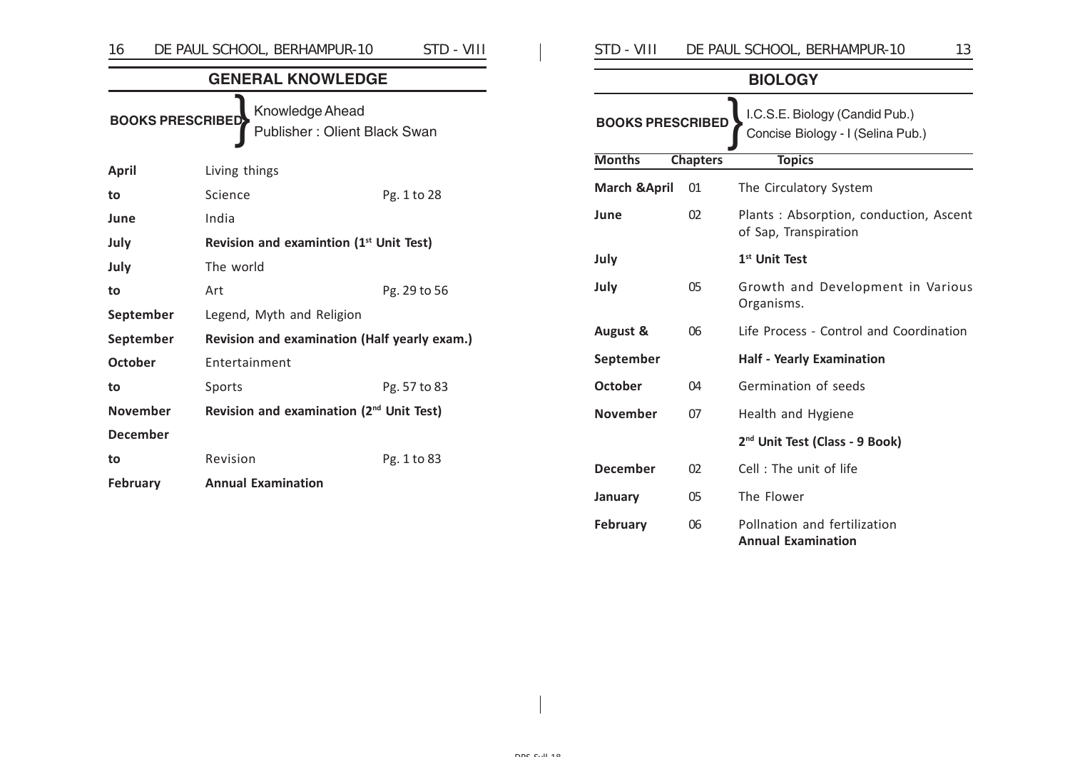| 16                                                                         | DE PAUL SCHOOL, BERHAMPUR-10                         |  | STD - VIII   |  |  |
|----------------------------------------------------------------------------|------------------------------------------------------|--|--------------|--|--|
|                                                                            | <b>GENERAL KNOWLEDGE</b>                             |  |              |  |  |
| Knowledge Ahead<br><b>BOOKS PRESCRIBED</b><br>Publisher: Olient Black Swan |                                                      |  |              |  |  |
| <b>April</b>                                                               | Living things                                        |  |              |  |  |
| to                                                                         | Science                                              |  | Pg. 1 to 28  |  |  |
| June                                                                       | India                                                |  |              |  |  |
| July                                                                       | Revision and examintion (1 <sup>st</sup> Unit Test)  |  |              |  |  |
| July                                                                       | The world                                            |  |              |  |  |
| to                                                                         | Art                                                  |  | Pg. 29 to 56 |  |  |
| September                                                                  | Legend, Myth and Religion                            |  |              |  |  |
| September                                                                  | Revision and examination (Half yearly exam.)         |  |              |  |  |
| <b>October</b>                                                             | Entertainment                                        |  |              |  |  |
| to                                                                         | Sports                                               |  | Pg. 57 to 83 |  |  |
| <b>November</b>                                                            | Revision and examination (2 <sup>nd</sup> Unit Test) |  |              |  |  |
| <b>December</b>                                                            |                                                      |  |              |  |  |
| to                                                                         | Revision                                             |  | Pg. 1 to 83  |  |  |
| <b>February</b>                                                            | <b>Annual Examination</b>                            |  |              |  |  |
|                                                                            |                                                      |  |              |  |  |

| STD - VIII                                                                                     |                 | DE PAUL SCHOOL, BERHAMPUR-10<br>13                              |  |
|------------------------------------------------------------------------------------------------|-----------------|-----------------------------------------------------------------|--|
|                                                                                                |                 | <b>BIOLOGY</b>                                                  |  |
| I.C.S.E. Biology (Candid Pub.)<br><b>BOOKS PRESCRIBED</b><br>Concise Biology - I (Selina Pub.) |                 |                                                                 |  |
| <b>Months</b>                                                                                  | <b>Chapters</b> | <b>Topics</b>                                                   |  |
| <b>March &amp; April</b>                                                                       | 01              | The Circulatory System                                          |  |
| June                                                                                           | 02              | Plants: Absorption, conduction, Ascent<br>of Sap, Transpiration |  |
| July                                                                                           |                 | 1 <sup>st</sup> Unit Test                                       |  |
| July                                                                                           | 05              | Growth and Development in Various<br>Organisms.                 |  |
| <b>August &amp;</b>                                                                            | 06              | Life Process - Control and Coordination                         |  |
| September                                                                                      |                 | <b>Half - Yearly Examination</b>                                |  |
| October                                                                                        | 04              | Germination of seeds                                            |  |
| <b>November</b>                                                                                | 07              | Health and Hygiene                                              |  |
|                                                                                                |                 | 2 <sup>nd</sup> Unit Test (Class - 9 Book)                      |  |
| <b>December</b>                                                                                | 02              | Cell: The unit of life                                          |  |
| January                                                                                        | 05              | The Flower                                                      |  |
| <b>February</b>                                                                                | 06              | Pollnation and fertilization<br><b>Annual Examination</b>       |  |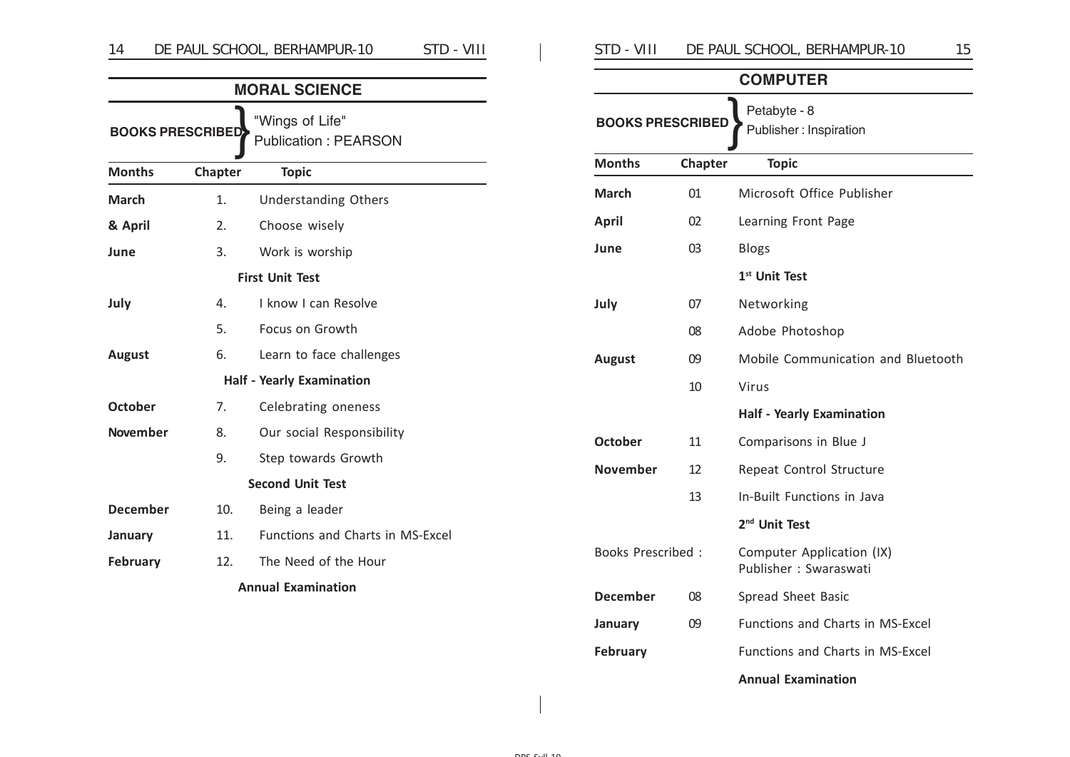|                           |         | <b>MORAL SCIENCE</b>                           |  |
|---------------------------|---------|------------------------------------------------|--|
| <b>BOOKS PRESCRIBED</b>   |         | "Wings of Life"<br><b>Publication: PEARSON</b> |  |
| <b>Months</b>             | Chapter | <b>Topic</b>                                   |  |
| <b>March</b>              | 1.      | <b>Understanding Others</b>                    |  |
| & April                   | 2.      | Choose wisely                                  |  |
| June                      | 3.      | Work is worship                                |  |
| <b>First Unit Test</b>    |         |                                                |  |
| July                      | 4.      | I know I can Resolve                           |  |
|                           | 5.      | Focus on Growth                                |  |
| <b>August</b>             | 6.      | Learn to face challenges                       |  |
|                           |         | <b>Half - Yearly Examination</b>               |  |
| <b>October</b>            | 7.      | Celebrating oneness                            |  |
| <b>November</b>           | 8.      | Our social Responsibility                      |  |
|                           | 9.      | Step towards Growth                            |  |
|                           |         | <b>Second Unit Test</b>                        |  |
| <b>December</b>           | 10.     | Being a leader                                 |  |
| January                   | 11.     | <b>Functions and Charts in MS-Excel</b>        |  |
| <b>February</b>           | 12.     | The Need of the Hour                           |  |
| <b>Annual Examination</b> |         |                                                |  |

| STD - VIII<br>DE PAUL SCHOOL, BERHAMPUR-10 |  |
|--------------------------------------------|--|
|--------------------------------------------|--|

| <b>COMPUTER</b>                                                   |         |                                                    |  |
|-------------------------------------------------------------------|---------|----------------------------------------------------|--|
| Petabyte - 8<br><b>BOOKS PRESCRIBED</b><br>Publisher: Inspiration |         |                                                    |  |
| <b>Months</b>                                                     | Chapter | <b>Topic</b>                                       |  |
| March                                                             | 01      | Microsoft Office Publisher                         |  |
| <b>April</b>                                                      | 02      | Learning Front Page                                |  |
| June                                                              | 03      | <b>Blogs</b>                                       |  |
|                                                                   |         | 1 <sup>st</sup> Unit Test                          |  |
| July                                                              | 07      | Networking                                         |  |
|                                                                   | 08      | Adobe Photoshop                                    |  |
| <b>August</b>                                                     | 09      | Mobile Communication and Bluetooth                 |  |
|                                                                   | 10      | Virus                                              |  |
|                                                                   |         | <b>Half - Yearly Examination</b>                   |  |
| <b>October</b>                                                    | 11      | Comparisons in Blue J                              |  |
| <b>November</b>                                                   | 12      | Repeat Control Structure                           |  |
|                                                                   | 13      | In-Built Functions in Java                         |  |
|                                                                   |         | 2 <sup>nd</sup> Unit Test                          |  |
| <b>Books Prescribed:</b>                                          |         | Computer Application (IX)<br>Publisher: Swaraswati |  |
| <b>December</b>                                                   | 08      | Spread Sheet Basic                                 |  |
| January                                                           | 09      | Functions and Charts in MS-Excel                   |  |
| <b>February</b>                                                   |         | Functions and Charts in MS-Excel                   |  |
|                                                                   |         | <b>Annual Examination</b>                          |  |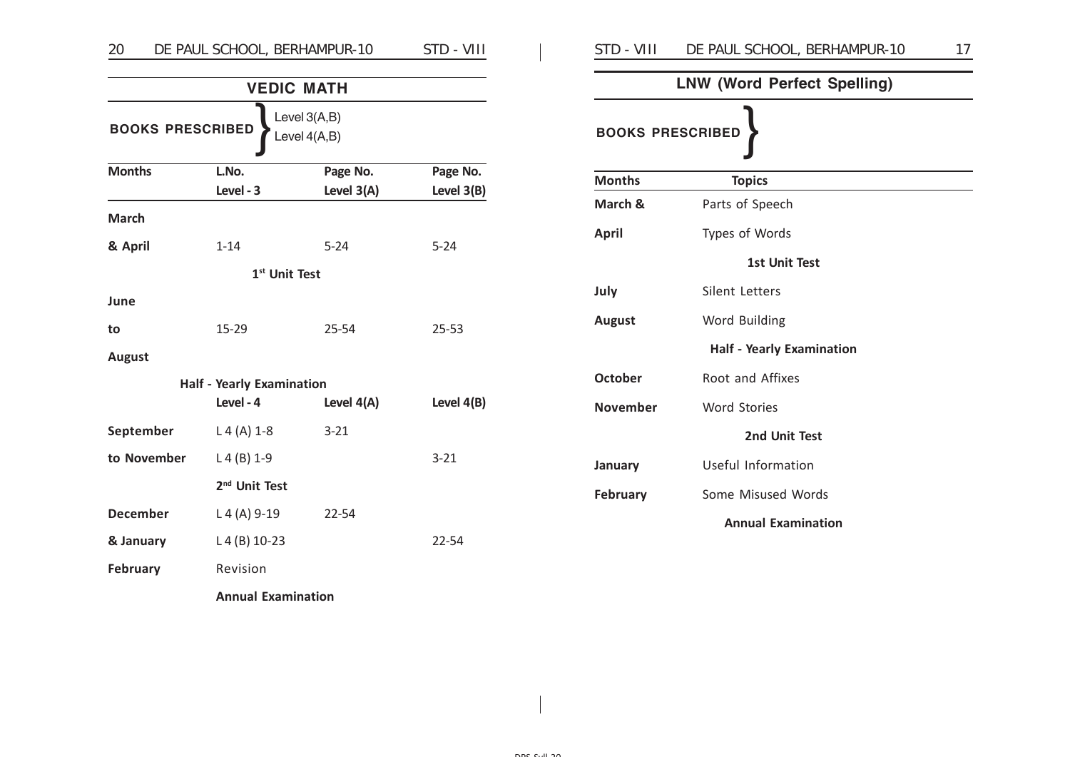# 20 DE PAUL SCHOOL, BERHAMPUR-10 STD - VIII | STD - VIII DE PAUL SCHOOL, BERHAMPUR-10 17

| <b>VEDIC MATH</b><br>Level 3(A,B)<br><b>BOOKS PRESCRIBED</b><br>Level 4(A,B) |                                  |              |            |
|------------------------------------------------------------------------------|----------------------------------|--------------|------------|
|                                                                              |                                  |              |            |
|                                                                              | Level - 3                        | Level $3(A)$ | Level 3(B) |
| <b>March</b>                                                                 |                                  |              |            |
| & April                                                                      | $1 - 14$                         | $5 - 24$     | $5 - 24$   |
|                                                                              | 1 <sup>st</sup> Unit Test        |              |            |
| June                                                                         |                                  |              |            |
| to                                                                           | 15-29                            | 25-54        | $25 - 53$  |
| <b>August</b>                                                                |                                  |              |            |
|                                                                              | <b>Half - Yearly Examination</b> |              |            |
|                                                                              | Level - 4                        | Level $4(A)$ | Level 4(B) |
| September                                                                    | $L 4 (A) 1-8$                    | $3 - 21$     |            |
| to November                                                                  | $L 4 (B) 1-9$                    |              | $3 - 21$   |
|                                                                              | 2 <sup>nd</sup> Unit Test        |              |            |
| <b>December</b>                                                              | $L 4 (A) 9-19$                   | 22-54        |            |
| & January                                                                    | $L4(B) 10-23$                    |              | 22-54      |
| <b>February</b>                                                              | Revision                         |              |            |
|                                                                              | <b>Annual Examination</b>        |              |            |

| <b>LNW (Word Perfect Spelling)</b> |  |  |  |
|------------------------------------|--|--|--|
| <b>BOOKS PRESCRIBED</b>            |  |  |  |
| <b>Topics</b>                      |  |  |  |
| Parts of Speech                    |  |  |  |
| Types of Words                     |  |  |  |
| <b>1st Unit Test</b>               |  |  |  |
| Silent Letters                     |  |  |  |
| Word Building                      |  |  |  |
| <b>Half - Yearly Examination</b>   |  |  |  |
| Root and Affixes                   |  |  |  |
| <b>Word Stories</b>                |  |  |  |
| 2nd Unit Test                      |  |  |  |
| Useful Information                 |  |  |  |
| Some Misused Words                 |  |  |  |
| <b>Annual Examination</b>          |  |  |  |
|                                    |  |  |  |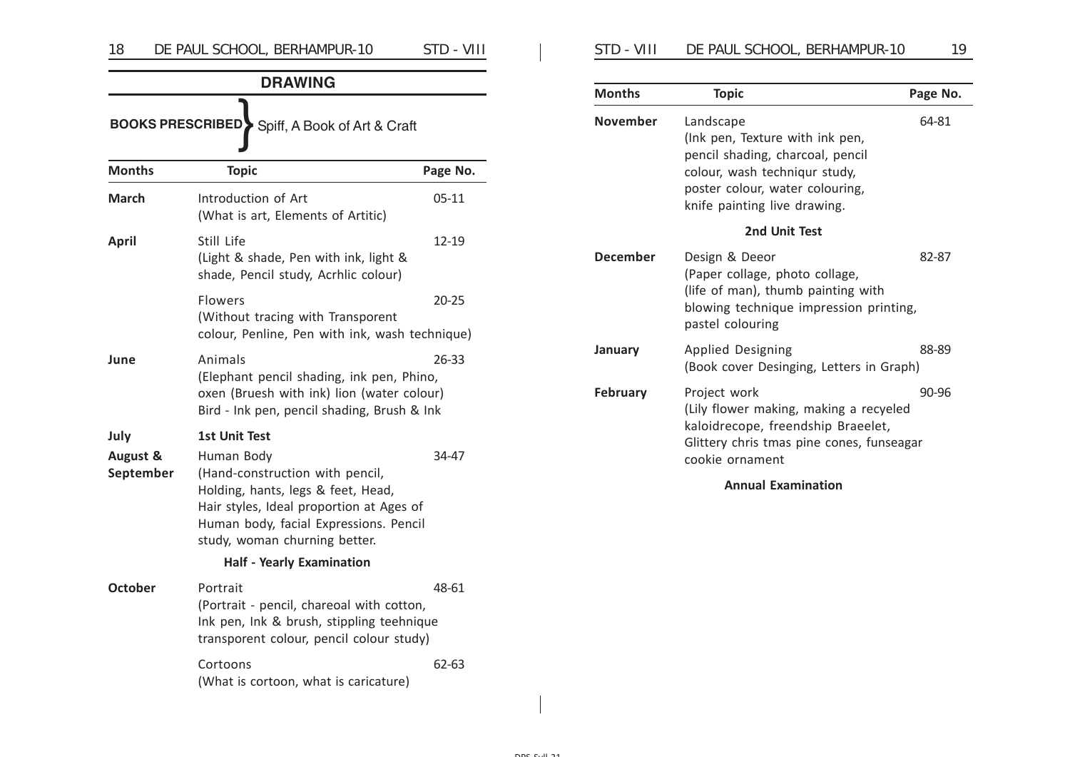| <b>DRAWING</b>                                          |                                                                                                                                                                                                            |          |  |  |
|---------------------------------------------------------|------------------------------------------------------------------------------------------------------------------------------------------------------------------------------------------------------------|----------|--|--|
| <b>BOOKS PRESCRIBED</b><br>Spiff, A Book of Art & Craft |                                                                                                                                                                                                            |          |  |  |
| <b>Months</b>                                           | <b>Topic</b>                                                                                                                                                                                               | Page No. |  |  |
| March                                                   | Introduction of Art<br>(What is art, Elements of Artitic)                                                                                                                                                  | 05-11    |  |  |
| <b>April</b>                                            | Still Life<br>(Light & shade, Pen with ink, light &<br>shade, Pencil study, Acrhlic colour)                                                                                                                | 12-19    |  |  |
|                                                         | <b>Flowers</b><br>(Without tracing with Transporent<br>colour, Penline, Pen with ink, wash technique)                                                                                                      | 20-25    |  |  |
| June                                                    | Animals<br>(Elephant pencil shading, ink pen, Phino,<br>oxen (Bruesh with ink) lion (water colour)<br>Bird - Ink pen, pencil shading, Brush & Ink                                                          | 26-33    |  |  |
| July                                                    | <b>1st Unit Test</b>                                                                                                                                                                                       |          |  |  |
| August &<br>September                                   | Human Body<br>(Hand-construction with pencil,<br>Holding, hants, legs & feet, Head,<br>Hair styles, Ideal proportion at Ages of<br>Human body, facial Expressions. Pencil<br>study, woman churning better. | 34-47    |  |  |
| <b>Half - Yearly Examination</b>                        |                                                                                                                                                                                                            |          |  |  |
| <b>October</b>                                          | Portrait<br>(Portrait - pencil, chareoal with cotton,<br>Ink pen, Ink & brush, stippling teehnique<br>transporent colour, pencil colour study)                                                             | 48-61    |  |  |
|                                                         | Cortoons<br>(What is cortoon, what is caricature)                                                                                                                                                          | 62-63    |  |  |

| SID - VIII<br>DE PAUL SCHOOL, BERHAMPUR-10 |  |
|--------------------------------------------|--|
|--------------------------------------------|--|

| <b>Months</b> | <b>Topic</b>                                                                                                                                                                         | Page No. |
|---------------|--------------------------------------------------------------------------------------------------------------------------------------------------------------------------------------|----------|
| November      | Landscape<br>(lnk pen, Texture with ink pen,<br>pencil shading, charcoal, pencil<br>colour, wash techniqur study,<br>poster colour, water colouring,<br>knife painting live drawing. | 64-81    |
|               | 2nd Unit Test                                                                                                                                                                        |          |
| December      | Design & Deeor<br>(Paper collage, photo collage,<br>(life of man), thumb painting with<br>blowing technique impression printing,<br>pastel colouring                                 | 82-87    |
| January       | <b>Applied Designing</b><br>(Book cover Desinging, Letters in Graph)                                                                                                                 | 88-89    |
| February      | Project work<br>(Lily flower making, making a recyeled<br>kaloidrecope, freendship Braeelet,<br>Glittery chris tmas pine cones, funseagar<br>cookie ornament                         | 90-96    |

**Annual Examination**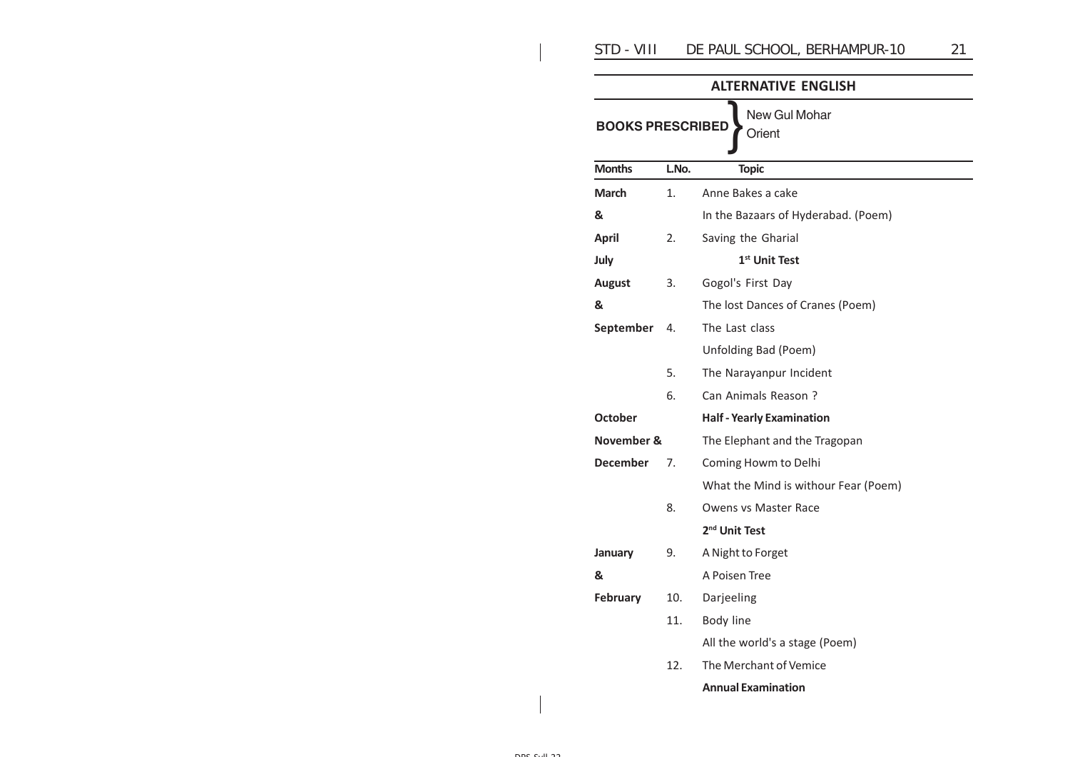|                                                    |       | <b>ALTERNATIVE ENGLISH</b>           |  |
|----------------------------------------------------|-------|--------------------------------------|--|
| New Gul Mohar<br><b>BOOKS PRESCRIBED</b><br>Orient |       |                                      |  |
| <b>Months</b>                                      | L.No. | <b>Topic</b>                         |  |
| <b>March</b>                                       | 1.    | Anne Bakes a cake                    |  |
| &                                                  |       | In the Bazaars of Hyderabad. (Poem)  |  |
| <b>April</b>                                       | 2.    | Saving the Gharial                   |  |
| July                                               |       | 1 <sup>st</sup> Unit Test            |  |
| <b>August</b>                                      | 3.    | Gogol's First Day                    |  |
| &                                                  |       | The lost Dances of Cranes (Poem)     |  |
| September                                          | 4.    | The Last class                       |  |
|                                                    |       | Unfolding Bad (Poem)                 |  |
|                                                    | 5.    | The Narayanpur Incident              |  |
|                                                    | 6.    | Can Animals Reason?                  |  |
| <b>October</b>                                     |       | <b>Half - Yearly Examination</b>     |  |
| November &                                         |       | The Elephant and the Tragopan        |  |
| <b>December</b>                                    | 7.    | Coming Howm to Delhi                 |  |
|                                                    |       | What the Mind is withour Fear (Poem) |  |
|                                                    | 8.    | <b>Owens vs Master Race</b>          |  |
|                                                    |       | 2 <sup>nd</sup> Unit Test            |  |
| January                                            | 9.    | A Night to Forget                    |  |
| &                                                  |       | A Poisen Tree                        |  |
| <b>February</b>                                    | 10.   | Darjeeling                           |  |
|                                                    | 11.   | Body line                            |  |
|                                                    |       | All the world's a stage (Poem)       |  |
|                                                    | 12.   | The Merchant of Vemice               |  |
|                                                    |       | <b>Annual Examination</b>            |  |
|                                                    |       |                                      |  |